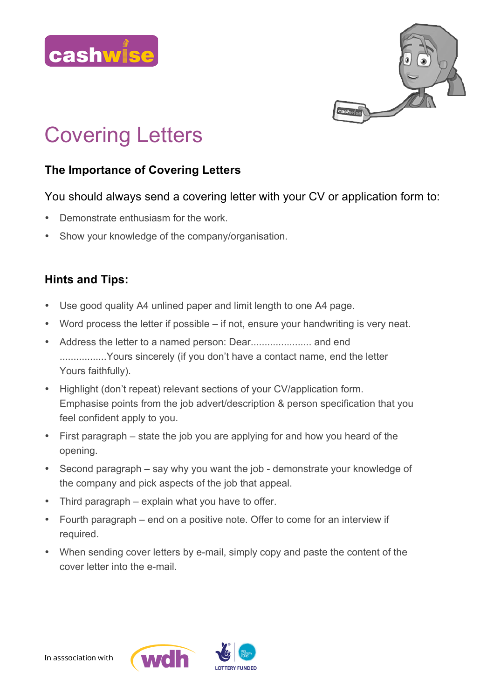



# Covering Letters

## **The Importance of Covering Letters**

#### You should always send a covering letter with your CV or application form to:

- Demonstrate enthusiasm for the work.
- Show your knowledge of the company/organisation.

#### **Hints and Tips:**

- Use good quality A4 unlined paper and limit length to one A4 page.
- Word process the letter if possible if not, ensure your handwriting is very neat.
- Address the letter to a named person: Dear...................... and end .................Yours sincerely (if you don't have a contact name, end the letter Yours faithfully).
- Highlight (don't repeat) relevant sections of your CV/application form. Emphasise points from the job advert/description & person specification that you feel confident apply to you.
- First paragraph state the job you are applying for and how you heard of the opening.
- Second paragraph say why you want the job demonstrate your knowledge of the company and pick aspects of the job that appeal.
- Third paragraph explain what you have to offer.
- Fourth paragraph end on a positive note. Offer to come for an interview if required.
- When sending cover letters by e-mail, simply copy and paste the content of the cover letter into the e-mail.